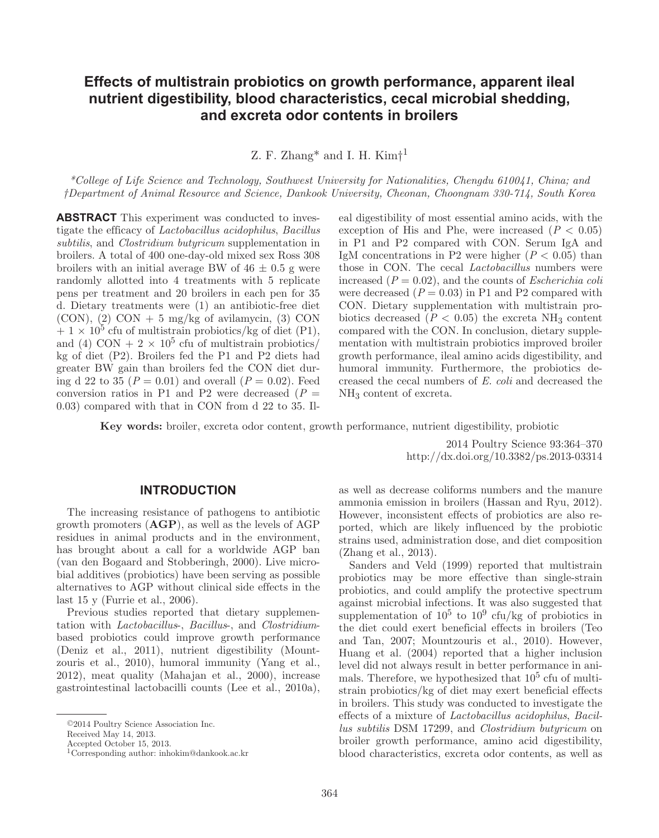# **Effects of multistrain probiotics on growth performance, apparent ileal nutrient digestibility, blood characteristics, cecal microbial shedding, and excreta odor contents in broilers**

Z. F. Zhang\* and I. H. Kim<sup>+1</sup>

 *\* College of Life Science and Technology, Southwest University for Nationalities, Chengdu 610041, China; and † Department of Animal Resource and Science, Dankook University, Cheonan, Choongnam 330-714, South Korea* 

 **ABSTRACT** This experiment was conducted to investigate the efficacy of *Lactobacillus acidophilus*, *Bacillus subtilis*, and *Clostridium butyricum* supplementation in broilers. A total of 400 one-day-old mixed sex Ross 308 broilers with an initial average BW of  $46 \pm 0.5$  g were randomly allotted into 4 treatments with 5 replicate pens per treatment and 20 broilers in each pen for 35 d. Dietary treatments were (1) an antibiotic-free diet  $(CON)$ ,  $(2)$   $CON + 5$  mg/kg of avilamycin,  $(3)$   $CON$  $+ 1 \times 10^5$  cfu of multistrain probiotics/kg of diet (P1), and (4) CON +  $2 \times 10^5$  cfu of multistrain probiotics/ kg of diet (P2). Broilers fed the P1 and P2 diets had greater BW gain than broilers fed the CON diet during d 22 to 35 ( $P = 0.01$ ) and overall ( $P = 0.02$ ). Feed conversion ratios in P1 and P2 were decreased  $(P =$ 0.03) compared with that in CON from d 22 to 35. Ileal digestibility of most essential amino acids, with the exception of His and Phe, were increased  $(P < 0.05)$ in P1 and P2 compared with CON. Serum IgA and IgM concentrations in P2 were higher  $(P < 0.05)$  than those in CON. The cecal *Lactobacillus* numbers were increased (*P* = 0.02), and the counts of *Escherichia coli* were decreased  $(P = 0.03)$  in P1 and P2 compared with CON. Dietary supplementation with multistrain probiotics decreased  $(P < 0.05)$  the excreta NH<sub>3</sub> content compared with the CON. In conclusion, dietary supplementation with multistrain probiotics improved broiler growth performance, ileal amino acids digestibility, and humoral immunity. Furthermore, the probiotics decreased the cecal numbers of *E. coli* and decreased the NH3 content of excreta.

**Key words:** broiler, excreta odor content, growth performance, nutrient digestibility, probiotic

 2014 Poultry Science 93 :364–370 http://dx.doi.org/ 10.3382/ps.2013-03314

#### **INTRODUCTION**

 The increasing resistance of pathogens to antibiotic growth promoters (**AGP**), as well as the levels of AGP residues in animal products and in the environment, has brought about a call for a worldwide AGP ban (van den Bogaard and Stobberingh, 2000). Live microbial additives (probiotics) have been serving as possible alternatives to AGP without clinical side effects in the last 15 y (Furrie et al., 2006).

 Previous studies reported that dietary supplementation with *Lactobacillus* -, *Bacillus*-, and *Clostridium*based probiotics could improve growth performance (Deniz et al., 2011), nutrient digestibility (Mountzouris et al., 2010), humoral immunity (Yang et al., 2012), meat quality (Mahajan et al., 2000), increase gastrointestinal lactobacilli counts (Lee et al., 2010a), as well as decrease coliforms numbers and the manure ammonia emission in broilers (Hassan and Ryu, 2012). However, inconsistent effects of probiotics are also reported, which are likely influenced by the probiotic strains used, administration dose, and diet composition (Zhang et al., 2013).

 Sanders and Veld (1999) reported that multistrain probiotics may be more effective than single-strain probiotics, and could amplify the protective spectrum against microbial infections. It was also suggested that supplementation of  $10^5$  to  $10^9$  cfu/kg of probiotics in the diet could exert beneficial effects in broilers (Teo and Tan, 2007; Mountzouris et al., 2010). However, Huang et al. (2004) reported that a higher inclusion level did not always result in better performance in animals. Therefore, we hypothesized that  $10<sup>5</sup>$  cfu of multistrain probiotics/kg of diet may exert beneficial effects in broilers. This study was conducted to investigate the effects of a mixture of *Lactobacillus acidophilus*, *Bacillus subtilis* DSM 17299, and *Clostridium butyricum* on broiler growth performance, amino acid digestibility, blood characteristics, excreta odor contents, as well as

<sup>© 2014</sup> Poultry Science Association Inc.

Received May 14, 2013.

Accepted October 15, 2013.

 <sup>1</sup> Corresponding author: inhokim@dankook.ac.kr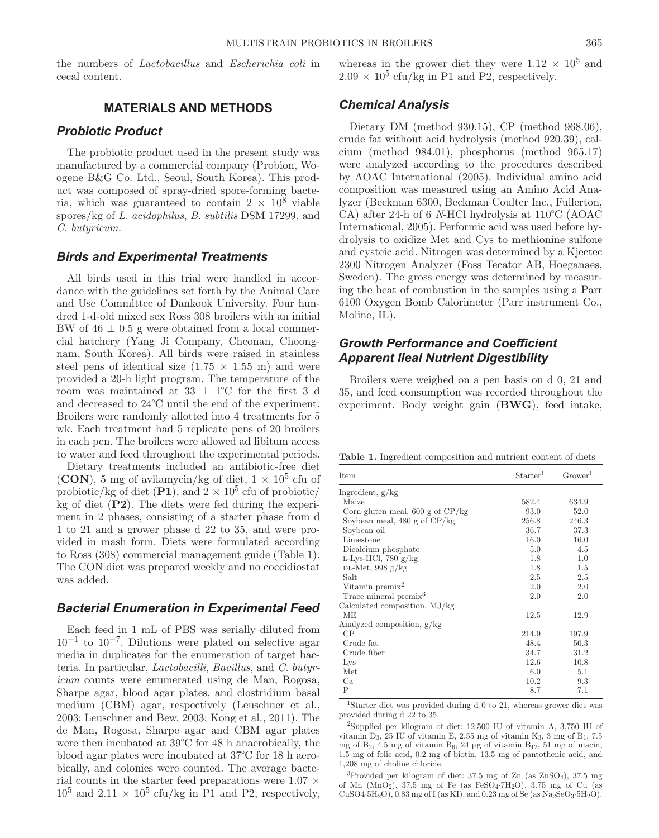the numbers of *Lactobacillus* and *Escherichia coli* in cecal content.

#### **MATERIALS AND METHODS**

## *Probiotic Product*

The probiotic product used in the present study was manufactured by a commercial company (Probion, Woogene B&G Co. Ltd., Seoul, South Korea). This product was composed of spray-dried spore-forming bacteria, which was guaranteed to contain  $2 \times 10^8$  viable spores/kg of *L. acidophilus*, *B. subtilis* DSM 17299, and *C. butyricum*.

## *Birds and Experimental Treatments*

All birds used in this trial were handled in accordance with the guidelines set forth by the Animal Care and Use Committee of Dankook University. Four hundred 1-d-old mixed sex Ross 308 broilers with an initial BW of  $46 \pm 0.5$  g were obtained from a local commercial hatchery (Yang Ji Company, Cheonan, Choongnam, South Korea). All birds were raised in stainless steel pens of identical size  $(1.75 \times 1.55 \text{ m})$  and were provided a 20-h light program. The temperature of the room was maintained at  $33 \pm 1$ °C for the first 3 d and decreased to 24°C until the end of the experiment. Broilers were randomly allotted into 4 treatments for 5 wk. Each treatment had 5 replicate pens of 20 broilers in each pen. The broilers were allowed ad libitum access to water and feed throughout the experimental periods.

Dietary treatments included an antibiotic-free diet **(CON)**, 5 mg of avilamycin/kg of diet,  $1 \times 10^5$  cfu of probiotic/kg of diet (P1), and  $2 \times 10^5$  cfu of probiotic/ kg of diet (**P2**). The diets were fed during the experiment in 2 phases, consisting of a starter phase from d 1 to 21 and a grower phase d 22 to 35, and were provided in mash form. Diets were formulated according to Ross (308) commercial management guide (Table 1). The CON diet was prepared weekly and no coccidiostat was added.

## *Bacterial Enumeration in Experimental Feed*

Each feed in 1 mL of PBS was serially diluted from  $10^{-1}$  to  $10^{-7}$ . Dilutions were plated on selective agar media in duplicates for the enumeration of target bacteria. In particular, *Lactobacilli*, *Bacillus*, and *C. butyricum* counts were enumerated using de Man, Rogosa, Sharpe agar, blood agar plates, and clostridium basal medium (CBM) agar, respectively (Leuschner et al., 2003; Leuschner and Bew, 2003; Kong et al., 2011). The de Man, Rogosa, Sharpe agar and CBM agar plates were then incubated at 39°C for 48 h anaerobically, the blood agar plates were incubated at 37°C for 18 h aerobically, and colonies were counted. The average bacterial counts in the starter feed preparations were  $1.07 \times$  $10^5$  and  $2.11 \times 10^5$  cfu/kg in P1 and P2, respectively, whereas in the grower diet they were  $1.12 \times 10^5$  and  $2.09 \times 10^5$  cfu/kg in P1 and P2, respectively.

#### *Chemical Analysis*

Dietary DM (method 930.15), CP (method 968.06), crude fat without acid hydrolysis (method 920.39), calcium (method 984.01), phosphorus (method 965.17) were analyzed according to the procedures described by AOAC International (2005). Individual amino acid composition was measured using an Amino Acid Analyzer (Beckman 6300, Beckman Coulter Inc., Fullerton, CA) after 24-h of 6 *N*-HCl hydrolysis at 110°C (AOAC International, 2005). Performic acid was used before hydrolysis to oxidize Met and Cys to methionine sulfone and cysteic acid. Nitrogen was determined by a Kjectec 2300 Nitrogen Analyzer (Foss Tecator AB, Hoeganaes, Sweden). The gross energy was determined by measuring the heat of combustion in the samples using a Parr 6100 Oxygen Bomb Calorimeter (Parr instrument Co., Moline, IL).

## *Growth Performance and Coefficient Apparent Ileal Nutrient Digestibility*

Broilers were weighed on a pen basis on d 0, 21 and 35, and feed consumption was recorded throughout the experiment. Body weight gain (**BWG**), feed intake,

**Table 1.** Ingredient composition and nutrient content of diets

| Item                                     | Starter <sup>1</sup> | Grower <sup>1</sup> |
|------------------------------------------|----------------------|---------------------|
| Ingredient, $g/kg$                       |                      |                     |
| Maize                                    | 582.4                | 634.9               |
| Corn gluten meal, $600$ g of $CP/kg$     | 93.0                 | 52.0                |
| Soybean meal, $480 \text{ g}$ of $CP/kg$ | 256.8                | 246.3               |
| Soybean oil                              | 36.7                 | 37.3                |
| Limestone                                | 16.0                 | 16.0                |
| Dicalcium phosphate                      | 5.0                  | 4.5                 |
| L-Lys-HCl, 780 $g/kg$                    | 1.8                  | 1.0                 |
| DL-Met, $998$ g/kg                       | 1.8                  | $1.5\,$             |
| Salt                                     | 2.5                  | 2.5                 |
| Vitamin premix <sup>2</sup>              | 2.0                  | 2.0                 |
| Trace mineral premix <sup>3</sup>        | 2.0                  | 2.0                 |
| Calculated composition, MJ/kg            |                      |                     |
| MЕ                                       | 12.5                 | 12.9                |
| Analyzed composition, g/kg               |                      |                     |
| CP                                       | 214.9                | 197.9               |
| Crude fat                                | 48.4                 | 50.3                |
| Crude fiber                              | 34.7                 | 31.2                |
| Lys                                      | 12.6                 | 10.8                |
| Met                                      | 6.0                  | 5.1                 |
| Ca                                       | 10.2                 | 9.3                 |
| Ρ                                        | 8.7                  | 7.1                 |

1Starter diet was provided during d 0 to 21, whereas grower diet was provided during d 22 to 35.

<sup>2</sup>Supplied per kilogram of diet: 12,500 IU of vitamin A, 3,750 IU of vitamin  $D_3$ , 25 IU of vitamin E, 2.55 mg of vitamin K<sub>3</sub>, 3 mg of B<sub>1</sub>, 7.5 mg of  $B_2$ , 4.5 mg of vitamin  $B_6$ , 24 µg of vitamin  $B_{12}$ , 51 mg of niacin, 1.5 mg of folic acid, 0.2 mg of biotin, 13.5 mg of pantothenic acid, and 1,208 mg of choline chloride.

3Provided per kilogram of diet: 37.5 mg of Zn (as ZnSO4), 37.5 mg of Mn  $(MnO<sub>2</sub>)$ , 37.5 mg of Fe (as FeSO<sub>4</sub>·7H<sub>2</sub>O), 3.75 mg of Cu (as CuSO4·5H<sub>2</sub>O), 0.83 mg of I (as KI), and 0.23 mg of Se (as  $\text{Na}_2\text{SeO}_3$ ·5H<sub>2</sub>O).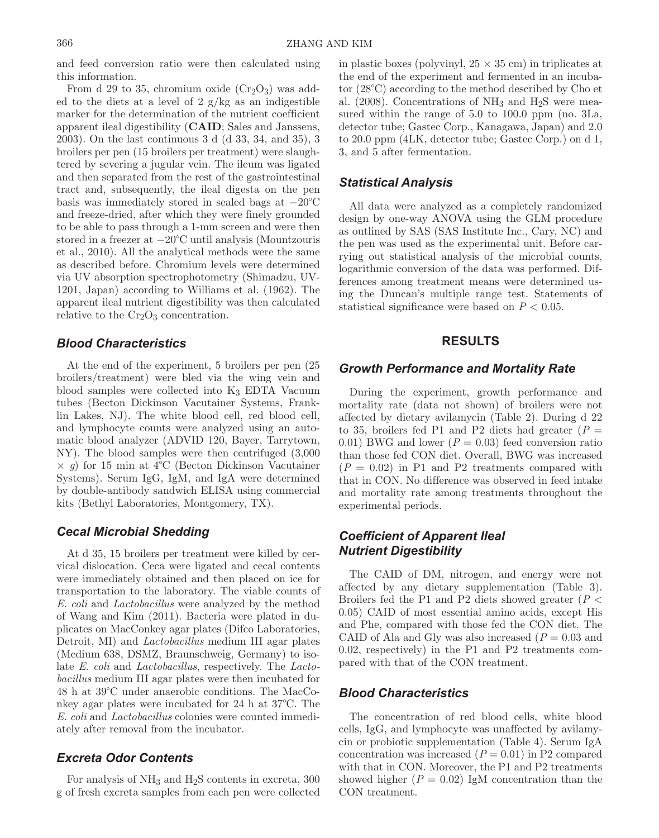and feed conversion ratio were then calculated using this information.

From d 29 to 35, chromium oxide  $(\text{Cr}_2\text{O}_3)$  was added to the diets at a level of 2  $g/kg$  as an indigestible marker for the determination of the nutrient coefficient apparent ileal digestibility (**CAID**; Sales and Janssens, 2003). On the last continuous 3 d (d 33, 34, and 35), 3 broilers per pen (15 broilers per treatment) were slaughtered by severing a jugular vein. The ileum was ligated and then separated from the rest of the gastrointestinal tract and, subsequently, the ileal digesta on the pen basis was immediately stored in sealed bags at −20°C and freeze-dried, after which they were finely grounded to be able to pass through a 1-mm screen and were then stored in a freezer at −20°C until analysis (Mountzouris et al., 2010). All the analytical methods were the same as described before. Chromium levels were determined via UV absorption spectrophotometry (Shimadzu, UV-1201, Japan) according to Williams et al. (1962). The apparent ileal nutrient digestibility was then calculated relative to the  $Cr_2O_3$  concentration.

## *Blood Characteristics*

At the end of the experiment, 5 broilers per pen (25 broilers/treatment) were bled via the wing vein and blood samples were collected into K3 EDTA Vacuum tubes (Becton Dickinson Vacutainer Systems, Franklin Lakes, NJ). The white blood cell, red blood cell, and lymphocyte counts were analyzed using an automatic blood analyzer (ADVID 120, Bayer, Tarrytown, NY). The blood samples were then centrifuged (3,000  $\times$  *g*) for 15 min at 4°C (Becton Dickinson Vacutainer Systems). Serum IgG, IgM, and IgA were determined by double-antibody sandwich ELISA using commercial kits (Bethyl Laboratories, Montgomery, TX).

#### *Cecal Microbial Shedding*

At d 35, 15 broilers per treatment were killed by cervical dislocation. Ceca were ligated and cecal contents were immediately obtained and then placed on ice for transportation to the laboratory. The viable counts of *E. coli* and *Lactobacillus* were analyzed by the method of Wang and Kim (2011). Bacteria were plated in duplicates on MacConkey agar plates (Difco Laboratories, Detroit, MI) and *Lactobacillus* medium III agar plates (Medium 638, DSMZ, Braunschweig, Germany) to isolate *E. coli* and *Lactobacillus*, respectively. The *Lactobacillus* medium III agar plates were then incubated for 48 h at 39°C under anaerobic conditions. The MacConkey agar plates were incubated for 24 h at 37°C. The *E. coli* and *Lactobacillus* colonies were counted immediately after removal from the incubator.

## *Excreta Odor Contents*

For analysis of  $NH_3$  and  $H_2S$  contents in excreta, 300 g of fresh excreta samples from each pen were collected

in plastic boxes (polyvinyl,  $25 \times 35$  cm) in triplicates at the end of the experiment and fermented in an incubator (28°C) according to the method described by Cho et al. (2008). Concentrations of  $NH_3$  and  $H_2S$  were measured within the range of 5.0 to 100.0 ppm (no. 3La, detector tube; Gastec Corp., Kanagawa, Japan) and 2.0 to 20.0 ppm (4LK, detector tube; Gastec Corp.) on d 1, 3, and 5 after fermentation.

## *Statistical Analysis*

All data were analyzed as a completely randomized design by one-way ANOVA using the GLM procedure as outlined by SAS (SAS Institute Inc., Cary, NC) and the pen was used as the experimental unit. Before carrying out statistical analysis of the microbial counts, logarithmic conversion of the data was performed. Differences among treatment means were determined using the Duncan's multiple range test. Statements of statistical significance were based on  $P < 0.05$ .

#### **RESULTS**

#### *Growth Performance and Mortality Rate*

During the experiment, growth performance and mortality rate (data not shown) of broilers were not affected by dietary avilamycin (Table 2). During d 22 to 35, broilers fed P1 and P2 diets had greater  $(P =$ 0.01) BWG and lower  $(P = 0.03)$  feed conversion ratio than those fed CON diet. Overall, BWG was increased  $(P = 0.02)$  in P1 and P2 treatments compared with that in CON. No difference was observed in feed intake and mortality rate among treatments throughout the experimental periods.

## *Coefficient of Apparent Ileal Nutrient Digestibility*

The CAID of DM, nitrogen, and energy were not affected by any dietary supplementation (Table 3). Broilers fed the P1 and P2 diets showed greater (*P* < 0.05) CAID of most essential amino acids, except His and Phe, compared with those fed the CON diet. The CAID of Ala and Gly was also increased  $(P = 0.03$  and 0.02, respectively) in the P1 and P2 treatments compared with that of the CON treatment.

#### *Blood Characteristics*

The concentration of red blood cells, white blood cells, IgG, and lymphocyte was unaffected by avilamycin or probiotic supplementation (Table 4). Serum IgA concentration was increased  $(P = 0.01)$  in P2 compared with that in CON. Moreover, the P1 and P2 treatments showed higher  $(P = 0.02)$  IgM concentration than the CON treatment.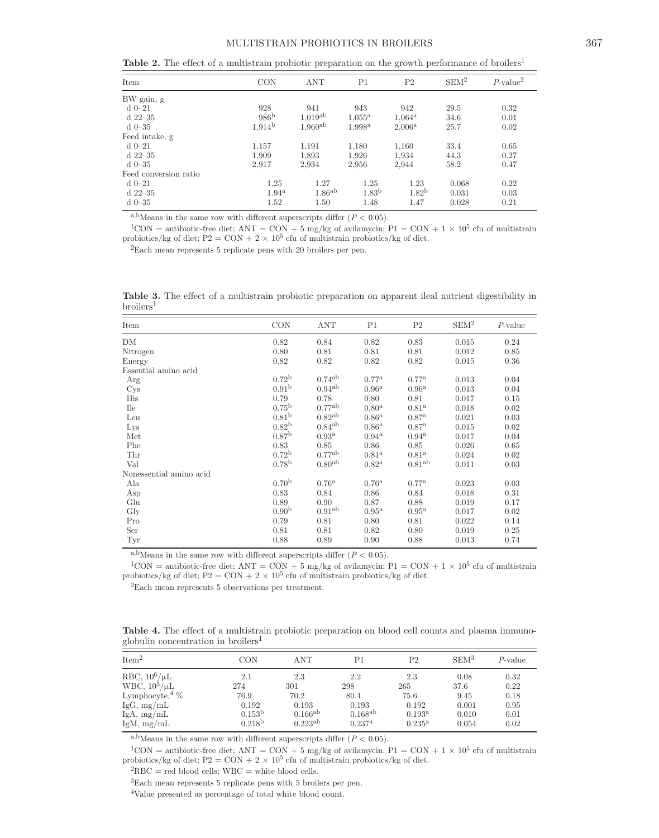**Table 2.** The effect of a multistrain probiotic preparation on the growth performance of broilers<sup>1</sup>

| Item                  | <b>CON</b>         | ANT          | P <sub>1</sub>     | P <sub>2</sub>    | SEM <sup>2</sup> | $P$ -value <sup>2</sup> |
|-----------------------|--------------------|--------------|--------------------|-------------------|------------------|-------------------------|
| BW gain, g            |                    |              |                    |                   |                  |                         |
| $d$ 0-21              | 928                | 941          | 943                | 942               | 29.5             | 0.32                    |
| $d$ 22-35             | 986 <sup>b</sup>   | $1,019^{ab}$ | $1,055^{\rm a}$    | $1.064^{\rm a}$   | 34.6             | 0.01                    |
| $d$ 0-35              | 1.914 <sup>b</sup> | $1,960^{ab}$ | 1,998 <sup>a</sup> | $2,006^{\rm a}$   | 25.7             | 0.02                    |
| Feed intake, g        |                    |              |                    |                   |                  |                         |
| $d$ 0-21              | 1,157              | 1,191        | 1,180              | 1,160             | 33.4             | 0.65                    |
| $d$ 22-35             | 1.909              | 1,893        | 1,926              | 1.934             | 44.3             | 0.27                    |
| $d$ 0-35              | 2,917              | 2,934        | 2,956              | 2.944             | 58.2             | 0.47                    |
| Feed conversion ratio |                    |              |                    |                   |                  |                         |
| $d$ 0-21              | 1.25               | 1.27         | 1.25               | 1.23              | 0.068            | 0.22                    |
| $d$ 22-35             | $1.94^{\rm a}$     | $1.86^{ab}$  | 1.83 <sup>b</sup>  | 1.82 <sup>b</sup> | 0.031            | 0.03                    |
| $d$ 0-35              | 1.52               | 1.50         | 1.48               | 1.47              | 0.028            | 0.21                    |

<sup>a,b</sup>Means in the same row with different superscripts differ  $(P < 0.05)$ .

<sup>1</sup>CON = antibiotic-free diet; ANT = CON + 5 mg/kg of avilamycin; P1 = CON + 1  $\times$  10<sup>5</sup> cfu of multistrain probiotics/kg of diet;  $P2 = CON + 2 \times 10^5$  cfu of multistrain probiotics/kg of diet.

2Each mean represents 5 replicate pens with 20 broilers per pen.

**Table 3.** The effect of a multistrain probiotic preparation on apparent ileal nutrient digestibility in broilers<sup>1</sup>  $=$ 

| Item                    | <b>CON</b>        | <b>ANT</b>         | P <sub>1</sub>    | P <sub>2</sub>     | SEM <sup>2</sup> | $P$ -value |
|-------------------------|-------------------|--------------------|-------------------|--------------------|------------------|------------|
| DM                      | 0.82              | 0.84               | 0.82              | 0.83               | 0.015            | 0.24       |
| Nitrogen                | 0.80              | 0.81               | 0.81              | 0.81               | 0.012            | 0.85       |
| Energy                  | 0.82              | 0.82               | 0.82              | 0.82               | 0.015            | 0.36       |
| Essential amino acid    |                   |                    |                   |                    |                  |            |
| Arg                     | 0.72 <sup>b</sup> | $0.74^{ab}$        | 0.77 <sup>a</sup> | 0.77 <sup>a</sup>  | 0.013            | 0.04       |
| Cys                     | 0.91 <sup>b</sup> | $0.94^{ab}$        | 0.96 <sup>a</sup> | 0.96 <sup>a</sup>  | 0.013            | 0.04       |
| His                     | 0.79              | 0.78               | 0.80              | 0.81               | 0.017            | 0.15       |
| <b>Ile</b>              | 0.75 <sup>b</sup> | 0.77ab             | 0.80 <sup>a</sup> | $0.81^{a}$         | 0.018            | 0.02       |
| Leu                     | 0.81 <sup>b</sup> | $0.82^{ab}$        | 0.86 <sup>a</sup> | $0.87^{a}$         | 0.021            | 0.03       |
| Lys                     | 0.82 <sup>b</sup> | $0.84^{ab}$        | 0.86 <sup>a</sup> | 0.87 <sup>a</sup>  | 0.015            | 0.02       |
| Met                     | 0.87 <sup>b</sup> | 0.93 <sup>a</sup>  | $0.94^{\rm a}$    | $0.94^{\rm a}$     | 0.017            | 0.04       |
| Phe                     | 0.83              | 0.85               | 0.86              | 0.85               | 0.026            | 0.65       |
| Thr                     | 0.72 <sup>b</sup> | 0.77ab             | 0.81 <sup>a</sup> | 0.81 <sup>a</sup>  | 0.024            | 0.02       |
| Val                     | 0.78 <sup>b</sup> | 0.80 <sup>ab</sup> | $0.82^{\rm a}$    | 0.81 <sup>ab</sup> | 0.011            | 0.03       |
| Nonessential amino acid |                   |                    |                   |                    |                  |            |
| Ala                     | 0.70 <sup>b</sup> | 0.76 <sup>a</sup>  | 0.76 <sup>a</sup> | 0.77 <sup>a</sup>  | 0.023            | 0.03       |
| Asp                     | 0.83              | 0.84               | 0.86              | 0.84               | 0.018            | 0.31       |
| Glu                     | 0.89              | 0.90               | 0.87              | 0.88               | 0.019            | 0.17       |
| Gly                     | 0.90 <sup>b</sup> | 0.91 <sup>ab</sup> | 0.95 <sup>a</sup> | 0.95 <sup>a</sup>  | 0.017            | 0.02       |
| Pro                     | 0.79              | 0.81               | 0.80              | 0.81               | 0.022            | 0.14       |
| Ser                     | 0.81              | 0.81               | 0.82              | 0.80               | 0.019            | 0.25       |
| Tyr                     | 0.88              | 0.89               | 0.90              | 0.88               | 0.013            | 0.74       |

<sup>a,b</sup>Means in the same row with different superscripts differ  $(P < 0.05)$ .

<sup>1</sup>CON = antibiotic-free diet; ANT = CON + 5 mg/kg of avilamycin; P1 = CON + 1 × 10<sup>5</sup> cfu of multistrain probiotics/kg of diet;  $P2 = CON + 2 \times 10^5$  cfu of multistrain probiotics/kg of diet.

2Each mean represents 5 observations per treatment.

**Table 4.** The effect of a multistrain probiotic preparation on blood cell counts and plasma immunoglobulin concentration in broilers1

| Item <sup>2</sup>                      | CON                        | <b>ANT</b>                   | P1                              | P2                                 | SEM <sup>3</sup> | $P$ -value   |
|----------------------------------------|----------------------------|------------------------------|---------------------------------|------------------------------------|------------------|--------------|
| RBC, $10^6/\mu L$<br>WBC, $10^3/\mu L$ | 2.1<br>274                 | 2.3<br>301                   | 2.2<br>298                      | 2.3<br>265                         | 0.08<br>37.6     | 0.32<br>0.22 |
| Lymphocyte, $4\%$                      | 76.9                       | 70.2                         | 80.4                            | 75.6                               | 9.45             | 0.18         |
| IgG, mg/mL                             | 0.192                      | 0.193                        | 0.193                           | 0.192                              | 0.001            | 0.95         |
| IgA, mg/mL<br>IgM, $mg/mL$             | $0.153^{b}$<br>$0.218^{b}$ | $0.166^{ab}$<br>$0.223^{ab}$ | $0.168^{ab}$<br>$0.237^{\rm a}$ | $0.193^{\rm a}$<br>$0.235^{\rm a}$ | 0.010<br>0.054   | 0.01<br>0.02 |

<sup>a,b</sup>Means in the same row with different superscripts differ  $(P < 0.05)$ .

<sup>1</sup>CON = antibiotic-free diet; ANT = CON + 5 mg/kg of avilamycin; P1 = CON + 1 × 10<sup>5</sup> cfu of multistrain probiotics/kg of diet;  $P2 = CON + 2 \times 10^5$  cfu of multistrain probiotics/kg of diet.

 ${}^{2}RBC$  = red blood cells; WBC = white blood cells.

3Each mean represents 5 replicate pens with 5 broilers per pen.

4Value presented as percentage of total white blood count.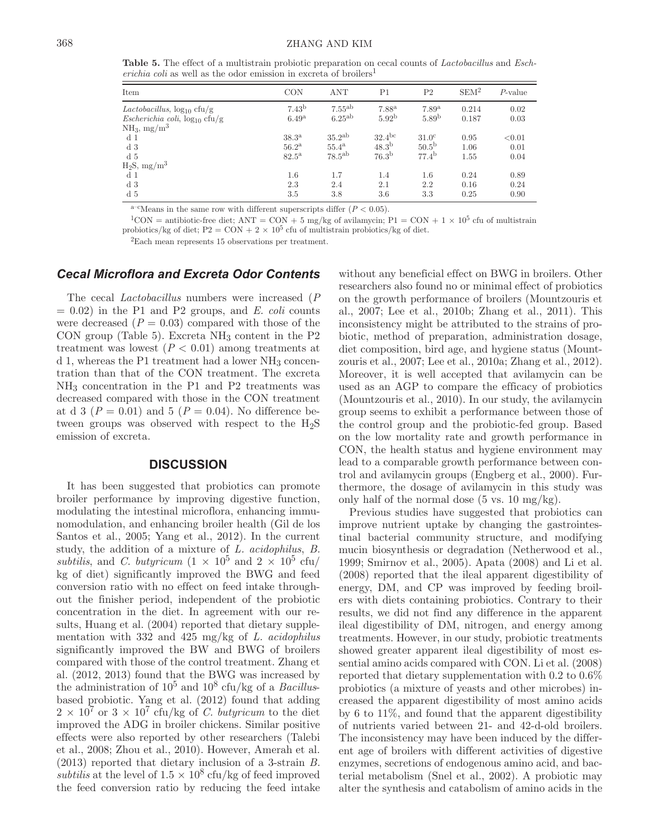**Table 5.** The effect of a multistrain probiotic preparation on cecal counts of *Lactobacillus* and *Escherichia coli* as well as the odor emission in excreta of broilers<sup>1</sup>

| Item                                                                             | <b>CON</b>                          | ANT                        | P <sub>1</sub>                         | P <sub>2</sub>                  | SEM <sup>2</sup> | $P$ -value   |
|----------------------------------------------------------------------------------|-------------------------------------|----------------------------|----------------------------------------|---------------------------------|------------------|--------------|
| Lactobacillus, $log_{10}$ cfu/g<br><i>Escherichia coli</i> , $\log_{10} c f u/g$ | $7.43^{\rm b}$<br>6.49 <sup>a</sup> | $7.55^{ab}$<br>$6.25^{ab}$ | 7.88 <sup>a</sup><br>5.92 <sup>b</sup> | $7.89^{a}$<br>5.89 <sup>b</sup> | 0.214<br>0.187   | 0.02<br>0.03 |
| $NH_3, mg/m3$                                                                    |                                     |                            |                                        |                                 |                  |              |
| d <sub>1</sub>                                                                   | 38.3 <sup>a</sup>                   | $35.2^{ab}$                | $32.4^{bc}$                            | 31.0 <sup>c</sup>               | 0.95             | < 0.01       |
| d <sub>3</sub>                                                                   | 56.2 <sup>a</sup>                   | $55.4^{\mathrm{a}}$        | 48.3 <sup>b</sup>                      | 50.5 <sup>b</sup>               | 1.06             | 0.01         |
| d 5                                                                              | $82.5^{\mathrm{a}}$                 | $78.5^{ab}$                | 76.3 <sup>b</sup>                      | $77.4^{\rm b}$                  | 1.55             | 0.04         |
| $H_2S$ , mg/m <sup>3</sup>                                                       |                                     |                            |                                        |                                 |                  |              |
| d <sub>1</sub>                                                                   | 1.6                                 | 1.7                        | 1.4                                    | 1.6                             | 0.24             | 0.89         |
| d <sub>3</sub>                                                                   | 2.3                                 | 2.4                        | 2.1                                    | 2.2                             | 0.16             | 0.24         |
| d <sub>5</sub>                                                                   | 3.5                                 | 3.8                        | 3.6                                    | 3.3                             | 0.25             | 0.90         |

<sup>a–c</sup>Means in the same row with different superscripts differ  $(P < 0.05)$ .

<sup>1</sup>CON = antibiotic-free diet; ANT = CON + 5 mg/kg of avilamycin; P1 = CON + 1  $\times$  10<sup>5</sup> cfu of multistrain probiotics/kg of diet;  $P2 = CON + 2 \times 10^5$  cfu of multistrain probiotics/kg of diet.

2Each mean represents 15 observations per treatment.

#### *Cecal Microflora and Excreta Odor Contents*

The cecal *Lactobacillus* numbers were increased (*P*  $= 0.02$ ) in the P1 and P2 groups, and *E. coli* counts were decreased  $(P = 0.03)$  compared with those of the CON group (Table 5). Excreta  $NH<sub>3</sub>$  content in the P2 treatment was lowest  $(P < 0.01)$  among treatments at  $d_1$ , whereas the P1 treatment had a lower NH<sub>3</sub> concentration than that of the CON treatment. The excreta  $NH<sub>3</sub>$  concentration in the P1 and P2 treatments was decreased compared with those in the CON treatment at d 3 ( $P = 0.01$ ) and 5 ( $P = 0.04$ ). No difference between groups was observed with respect to the  $H_2S$ emission of excreta.

#### **DISCUSSION**

It has been suggested that probiotics can promote broiler performance by improving digestive function, modulating the intestinal microflora, enhancing immunomodulation, and enhancing broiler health (Gil de los Santos et al., 2005; Yang et al., 2012). In the current study, the addition of a mixture of *L. acidophilus*, *B. subtilis*, and *C. butyricum*  $(1 \times 10^5 \text{ and } 2 \times 10^5 \text{ cfu})$ kg of diet) significantly improved the BWG and feed conversion ratio with no effect on feed intake throughout the finisher period, independent of the probiotic concentration in the diet. In agreement with our results, Huang et al. (2004) reported that dietary supplementation with 332 and 425 mg/kg of *L. acidophilus* significantly improved the BW and BWG of broilers compared with those of the control treatment. Zhang et al. (2012, 2013) found that the BWG was increased by the administration of  $10^5$  and  $10^8$  cfu/kg of a *Bacillus*based probiotic. Yang et al. (2012) found that adding  $2 \times 10^7$  or  $3 \times 10^7$  cfu/kg of *C. butyricum* to the diet improved the ADG in broiler chickens. Similar positive effects were also reported by other researchers (Talebi et al., 2008; Zhou et al., 2010). However, Amerah et al. (2013) reported that dietary inclusion of a 3-strain *B. subtilis* at the level of  $1.5 \times 10^8$  cfu/kg of feed improved the feed conversion ratio by reducing the feed intake without any beneficial effect on BWG in broilers. Other researchers also found no or minimal effect of probiotics on the growth performance of broilers (Mountzouris et al., 2007; Lee et al., 2010b; Zhang et al., 2011). This inconsistency might be attributed to the strains of probiotic, method of preparation, administration dosage, diet composition, bird age, and hygiene status (Mountzouris et al., 2007; Lee et al., 2010a; Zhang et al., 2012). Moreover, it is well accepted that avilamycin can be used as an AGP to compare the efficacy of probiotics (Mountzouris et al., 2010). In our study, the avilamycin group seems to exhibit a performance between those of the control group and the probiotic-fed group. Based on the low mortality rate and growth performance in CON, the health status and hygiene environment may lead to a comparable growth performance between control and avilamycin groups (Engberg et al., 2000). Furthermore, the dosage of avilamycin in this study was only half of the normal dose  $(5 \text{ vs. } 10 \text{ mg/kg})$ .

Previous studies have suggested that probiotics can improve nutrient uptake by changing the gastrointestinal bacterial community structure, and modifying mucin biosynthesis or degradation (Netherwood et al., 1999; Smirnov et al., 2005). Apata (2008) and Li et al. (2008) reported that the ileal apparent digestibility of energy, DM, and CP was improved by feeding broilers with diets containing probiotics. Contrary to their results, we did not find any difference in the apparent ileal digestibility of DM, nitrogen, and energy among treatments. However, in our study, probiotic treatments showed greater apparent ileal digestibility of most essential amino acids compared with CON. Li et al. (2008) reported that dietary supplementation with 0.2 to 0.6% probiotics (a mixture of yeasts and other microbes) increased the apparent digestibility of most amino acids by 6 to 11%, and found that the apparent digestibility of nutrients varied between 21- and 42-d-old broilers. The inconsistency may have been induced by the different age of broilers with different activities of digestive enzymes, secretions of endogenous amino acid, and bacterial metabolism (Snel et al., 2002). A probiotic may alter the synthesis and catabolism of amino acids in the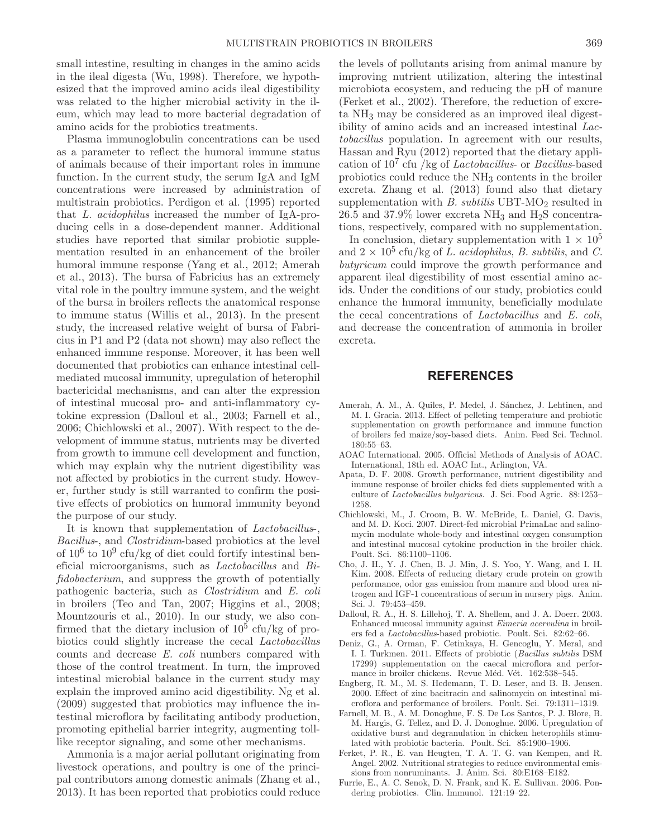small intestine, resulting in changes in the amino acids in the ileal digesta (Wu, 1998). Therefore, we hypothesized that the improved amino acids ileal digestibility was related to the higher microbial activity in the ileum, which may lead to more bacterial degradation of amino acids for the probiotics treatments.

Plasma immunoglobulin concentrations can be used as a parameter to reflect the humoral immune status of animals because of their important roles in immune function. In the current study, the serum IgA and IgM concentrations were increased by administration of multistrain probiotics. Perdigon et al. (1995) reported that *L. acidophilus* increased the number of IgA-producing cells in a dose-dependent manner. Additional studies have reported that similar probiotic supplementation resulted in an enhancement of the broiler humoral immune response (Yang et al., 2012; Amerah et al., 2013). The bursa of Fabricius has an extremely vital role in the poultry immune system, and the weight of the bursa in broilers reflects the anatomical response to immune status (Willis et al., 2013). In the present study, the increased relative weight of bursa of Fabricius in P1 and P2 (data not shown) may also reflect the enhanced immune response. Moreover, it has been well documented that probiotics can enhance intestinal cellmediated mucosal immunity, upregulation of heterophil bactericidal mechanisms, and can alter the expression of intestinal mucosal pro- and anti-inflammatory cytokine expression (Dalloul et al., 2003; Farnell et al., 2006; Chichlowski et al., 2007). With respect to the development of immune status, nutrients may be diverted from growth to immune cell development and function, which may explain why the nutrient digestibility was not affected by probiotics in the current study. However, further study is still warranted to confirm the positive effects of probiotics on humoral immunity beyond the purpose of our study.

It is known that supplementation of *Lactobacillus*-, *Bacillus*-, and *Clostridium*-based probiotics at the level of  $10^6$  to  $10^9$  cfu/kg of diet could fortify intestinal beneficial microorganisms, such as *Lactobacillus* and *Bifidobacterium*, and suppress the growth of potentially pathogenic bacteria, such as *Clostridium* and *E. coli* in broilers (Teo and Tan, 2007; Higgins et al., 2008; Mountzouris et al., 2010). In our study, we also confirmed that the dietary inclusion of  $10^5$  cfu/kg of probiotics could slightly increase the cecal *Lactobacillus* counts and decrease *E. coli* numbers compared with those of the control treatment. In turn, the improved intestinal microbial balance in the current study may explain the improved amino acid digestibility. Ng et al. (2009) suggested that probiotics may influence the intestinal microflora by facilitating antibody production, promoting epithelial barrier integrity, augmenting tolllike receptor signaling, and some other mechanisms.

Ammonia is a major aerial pollutant originating from livestock operations, and poultry is one of the principal contributors among domestic animals (Zhang et al., 2013). It has been reported that probiotics could reduce

the levels of pollutants arising from animal manure by improving nutrient utilization, altering the intestinal microbiota ecosystem, and reducing the pH of manure (Ferket et al., 2002). Therefore, the reduction of excreta NH3 may be considered as an improved ileal digestibility of amino acids and an increased intestinal *Lactobacillus* population. In agreement with our results, Hassan and Ryu (2012) reported that the dietary application of 107 cfu /kg of *Lactobacillus*- or *Bacillus*-based probiotics could reduce the NH3 contents in the broiler excreta. Zhang et al. (2013) found also that dietary supplementation with *B. subtilis* UBT-MO<sub>2</sub> resulted in  $26.5$  and  $37.9\%$  lower excreta NH<sub>3</sub> and H<sub>2</sub>S concentrations, respectively, compared with no supplementation.

In conclusion, dietary supplementation with  $1 \times 10^5$ and  $2 \times 10^5$  cfu/kg of *L. acidophilus*, *B. subtilis*, and *C. butyricum* could improve the growth performance and apparent ileal digestibility of most essential amino acids. Under the conditions of our study, probiotics could enhance the humoral immunity, beneficially modulate the cecal concentrations of *Lactobacillus* and *E. coli*, and decrease the concentration of ammonia in broiler excreta.

## **REFERENCES**

- Amerah, A. M., A. Quiles, P. Medel, J. Sánchez, J. Lehtinen, and M. I. Gracia. 2013. Effect of pelleting temperature and probiotic supplementation on growth performance and immune function of broilers fed maize/soy-based diets. Anim. Feed Sci. Technol. 180:55–63.
- AOAC International. 2005. Official Methods of Analysis of AOAC. International, 18th ed. AOAC Int., Arlington, VA.
- Apata, D. F. 2008. Growth performance, nutrient digestibility and immune response of broiler chicks fed diets supplemented with a culture of *Lactobacillus bulgaricus*. J. Sci. Food Agric. 88:1253– 1258.
- Chichlowski, M., J. Croom, B. W. McBride, L. Daniel, G. Davis, and M. D. Koci. 2007. Direct-fed microbial PrimaLac and salinomycin modulate whole-body and intestinal oxygen consumption and intestinal mucosal cytokine production in the broiler chick. Poult. Sci. 86:1100–1106.
- Cho, J. H., Y. J. Chen, B. J. Min, J. S. Yoo, Y. Wang, and I. H. Kim. 2008. Effects of reducing dietary crude protein on growth performance, odor gas emission from manure and blood urea nitrogen and IGF-1 concentrations of serum in nursery pigs. Anim. Sci. J. 79:453–459.
- Dalloul, R. A., H. S. Lillehoj, T. A. Shellem, and J. A. Doerr. 2003. Enhanced mucosal immunity against *Eimeria acervulina* in broilers fed a *Lactobacillus*-based probiotic. Poult. Sci. 82:62–66.
- Deniz, G., A. Orman, F. Cetinkaya, H. Gencoglu, Y. Meral, and I. I. Turkmen. 2011. Effects of probiotic (*Bacillus subtilis* DSM 17299) supplementation on the caecal microflora and performance in broiler chickens. Revue Méd. Vét. 162:538–545.
- Engberg, R. M., M. S. Hedemann, T. D. Leser, and B. B. Jensen. 2000. Effect of zinc bacitracin and salinomycin on intestinal microflora and performance of broilers. Poult. Sci. 79:1311–1319.
- Farnell, M. B., A. M. Donoghue, F. S. De Los Santos, P. J. Blore, B. M. Hargis, G. Tellez, and D. J. Donoghue. 2006. Upregulation of oxidative burst and degranulation in chicken heterophils stimulated with probiotic bacteria. Poult. Sci. 85:1900–1906.
- Ferket, P. R., E. van Heugten, T. A. T. G. van Kempen, and R. Angel. 2002. Nutritional strategies to reduce environmental emissions from nonruminants. J. Anim. Sci. 80:E168–E182.
- Furrie, E., A. C. Senok, D. N. Frank, and K. E. Sullivan. 2006. Pondering probiotics. Clin. Immunol. 121:19–22.